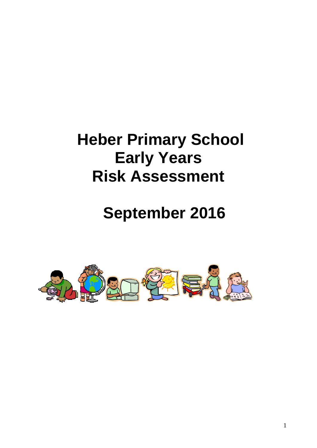# **Heber Primary School Early Years Risk Assessment**

# **September 2016**

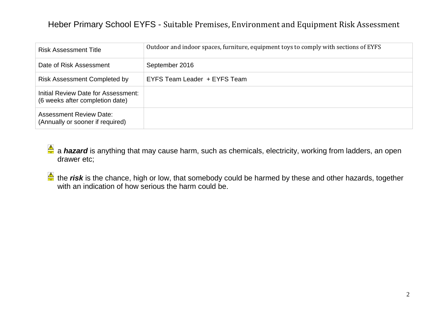## Heber Primary School EYFS - Suitable Premises, Environment and Equipment Risk Assessment

| <b>Risk Assessment Title</b>                                           | Outdoor and indoor spaces, furniture, equipment toys to comply with sections of EYFS |
|------------------------------------------------------------------------|--------------------------------------------------------------------------------------|
| Date of Risk Assessment                                                | September 2016                                                                       |
| <b>Risk Assessment Completed by</b>                                    | EYFS Team Leader + EYFS Team                                                         |
| Initial Review Date for Assessment:<br>(6 weeks after completion date) |                                                                                      |
| <b>Assessment Review Date:</b><br>(Annually or sooner if required)     |                                                                                      |

- **4** a *hazard* is anything that may cause harm, such as chemicals, electricity, working from ladders, an open drawer etc;
- the *risk* is the chance, high or low, that somebody could be harmed by these and other hazards, together with an indication of how serious the harm could be.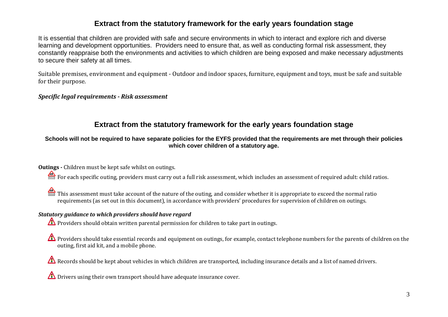## **Extract from the statutory framework for the early years foundation stage**

It is essential that children are provided with safe and secure environments in which to interact and explore rich and diverse learning and development opportunities. Providers need to ensure that, as well as conducting formal risk assessment, they constantly reappraise both the environments and activities to which children are being exposed and make necessary adjustments to secure their safety at all times.

Suitable premises, environment and equipment - Outdoor and indoor spaces, furniture, equipment and toys, must be safe and suitable for their purpose.

#### *Specific legal requirements - Risk assessment*

### **Extract from the statutory framework for the early years foundation stage**

**Schools will not be required to have separate policies for the EYFS provided that the requirements are met through their policies which cover children of a statutory age.**

#### **Outings -** Children must be kept safe whilst on outings.

- For each specific outing, providers must carry out a full risk assessment, which includes an assessment of required adult: child ratios.
- This assessment must take account of the nature of the outing, and consider whether it is appropriate to exceed the normal ratio requirements (as set out in this document), in accordance with providers' procedures for supervision of children on outings.

#### *Statutory guidance to which providers should have regard*

- $\triangle$  Providers should obtain written parental permission for children to take part in outings.
- Providers should take essential records and equipment on outings, for example, contact telephone numbers for the parents of children on the outing, first aid kit, and a mobile phone.
- Records should be kept about vehicles in which children are transported, including insurance details and a list of named drivers.

 $\triangle$  Drivers using their own transport should have adequate insurance cover.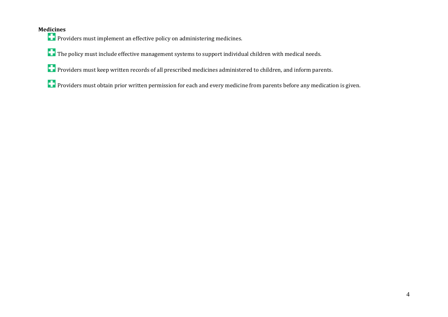#### **Medicines**

**Providers must implement an effective policy on administering medicines.** 

# The policy must include effective management systems to support individual children with medical needs.

Providers must keep written records of all prescribed medicines administered to children, and inform parents.

**Providers must obtain prior written permission for each and every medicine from parents before any medication is given.**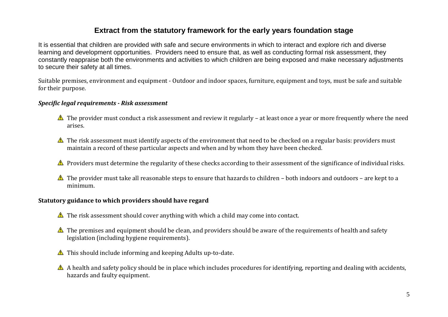## **Extract from the statutory framework for the early years foundation stage**

It is essential that children are provided with safe and secure environments in which to interact and explore rich and diverse learning and development opportunities. Providers need to ensure that, as well as conducting formal risk assessment, they constantly reappraise both the environments and activities to which children are being exposed and make necessary adjustments to secure their safety at all times.

Suitable premises, environment and equipment - Outdoor and indoor spaces, furniture, equipment and toys, must be safe and suitable for their purpose.

#### *Specific legal requirements - Risk assessment*

- $\triangle$  The provider must conduct a risk assessment and review it regularly at least once a year or more frequently where the need arises.
- $\triangle$  The risk assessment must identify aspects of the environment that need to be checked on a regular basis: providers must maintain a record of these particular aspects and when and by whom they have been checked.
- $\triangle$  Providers must determine the regularity of these checks according to their assessment of the significance of individual risks.
- $\triangle$  The provider must take all reasonable steps to ensure that hazards to children both indoors and outdoors are kept to a minimum.

#### **Statutory guidance to which providers should have regard**

- $\triangle$  The risk assessment should cover anything with which a child may come into contact.
- $\triangle$  The premises and equipment should be clean, and providers should be aware of the requirements of health and safety legislation (including hygiene requirements).
- $\triangle$  This should include informing and keeping Adults up-to-date.
- $\triangle$  A health and safety policy should be in place which includes procedures for identifying, reporting and dealing with accidents, hazards and faulty equipment.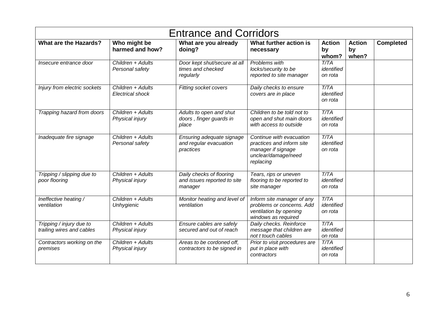| <b>Entrance and Corridors</b>                         |                                       |                                                                    |                                                                                                                 |                               |                              |                  |  |
|-------------------------------------------------------|---------------------------------------|--------------------------------------------------------------------|-----------------------------------------------------------------------------------------------------------------|-------------------------------|------------------------------|------------------|--|
| What are the Hazards?                                 | Who might be<br>harmed and how?       | What are you already<br>doing?                                     | What further action is<br>necessary                                                                             | <b>Action</b><br>by<br>whom?  | <b>Action</b><br>by<br>when? | <b>Completed</b> |  |
| Insecure entrance door                                | Children + Adults<br>Personal safety  | Door kept shut/secure at all<br>times and checked<br>regularly     | Problems with<br>locks/security to be<br>reported to site manager                                               | T/TA<br>identified<br>on rota |                              |                  |  |
| Injury from electric sockets                          | Children + Adults<br>Electrical shock | Fitting socket covers                                              | Daily checks to ensure<br>covers are in place                                                                   | T/TA<br>identified<br>on rota |                              |                  |  |
| Trapping hazard from doors                            | Children + Adults<br>Physical injury  | Adults to open and shut<br>doors, finger guards in<br>place        | Children to be told not to<br>open and shut main doors<br>with access to outside                                | T/TA<br>identified<br>on rota |                              |                  |  |
| Inadequate fire signage                               | Children + Adults<br>Personal safety  | Ensuring adequate signage<br>and regular evacuation<br>practices   | Continue with evacuation<br>practices and inform site<br>manager if signage<br>unclear/damage/need<br>replacing | T/TA<br>identified<br>on rota |                              |                  |  |
| Tripping / slipping due to<br>poor flooring           | Children + Adults<br>Physical injury  | Daily checks of flooring<br>and issues reported to site<br>manager | Tears, rips or uneven<br>flooring to be reported to<br>site manager                                             | T/TA<br>identified<br>on rota |                              |                  |  |
| Ineffective heating /<br>ventilation                  | Children + Adults<br>Unhygienic       | Monitor heating and level of<br>ventilation                        | Inform site manager of any<br>problems or concerns. Add<br>ventilation by opening<br>windows as required        | T/TA<br>identified<br>on rota |                              |                  |  |
| Tripping / injury due to<br>trailing wires and cables | Children + Adults<br>Physical injury  | Ensure cables are safely<br>secured and out of reach               | Daily checks. Reinforce<br>message that children are<br>not t touch cables                                      | T/TA<br>identified<br>on rota |                              |                  |  |
| Contractors working on the<br>premises                | Children + Adults<br>Physical injury  | Areas to be cordoned off,<br>contractors to be signed in           | Prior to visit procedures are<br>put in place with<br>contractors                                               | T/TA<br>identified<br>on rota |                              |                  |  |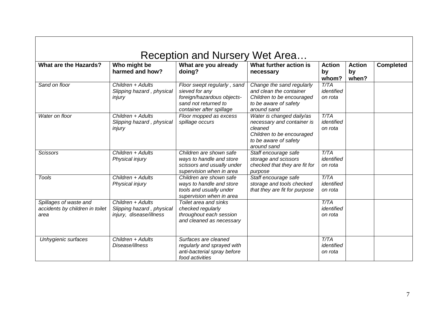| Reception and Nursery Wet Area                                    |                                                                           |                                                                                                                                 |                                                                                                                                         |                               |                              |                  |  |  |
|-------------------------------------------------------------------|---------------------------------------------------------------------------|---------------------------------------------------------------------------------------------------------------------------------|-----------------------------------------------------------------------------------------------------------------------------------------|-------------------------------|------------------------------|------------------|--|--|
| What are the Hazards?                                             | Who might be<br>harmed and how?                                           | What are you already<br>doing?                                                                                                  | What further action is<br>necessary                                                                                                     | <b>Action</b><br>by<br>whom?  | <b>Action</b><br>by<br>when? | <b>Completed</b> |  |  |
| Sand on floor                                                     | Children + Adults<br>Slipping hazard, physical<br>injury                  | Floor swept regularly, sand<br>sieved for any<br>foreign/hazardous objects-<br>sand not returned to<br>container after spillage | Change the sand regularly<br>and clean the container<br>Children to be encouraged<br>to be aware of safety<br>around sand               | T/TA<br>identified<br>on rota |                              |                  |  |  |
| Water on floor                                                    | Children + Adults<br>Slipping hazard, physical<br>injury                  | Floor mopped as excess<br>spillage occurs                                                                                       | Water is changed daily/as<br>necessary and container is<br>cleaned<br>Children to be encouraged<br>to be aware of safety<br>around sand | T/TA<br>identified<br>on rota |                              |                  |  |  |
| <b>Scissors</b>                                                   | Children + Adults<br>Physical injury                                      | Children are shown safe<br>ways to handle and store<br>scissors and usually under<br>supervision when in area                   | Staff encourage safe<br>storage and scissors<br>checked that they are fit for<br>purpose                                                | T/TA<br>identified<br>on rota |                              |                  |  |  |
| Tools                                                             | Children + Adults<br>Physical injury                                      | Children are shown safe<br>ways to handle and store<br>tools and usually under<br>supervision when in area                      | Staff encourage safe<br>storage and tools checked<br>that they are fit for purpose                                                      | T/TA<br>identified<br>on rota |                              |                  |  |  |
| Spillages of waste and<br>accidents by children in toilet<br>area | Children + Adults<br>Slipping hazard, physical<br>injury, disease/illness | Toilet area and sinks<br>checked regularly<br>throughout each session<br>and cleaned as necessary                               |                                                                                                                                         | T/TA<br>identified<br>on rota |                              |                  |  |  |
| Unhygienic surfaces                                               | Children + Adults<br>Disease/illness                                      | Surfaces are cleaned<br>regularly and sprayed with<br>anti-bacterial spray before<br>food activities                            |                                                                                                                                         | T/TA<br>identified<br>on rota |                              |                  |  |  |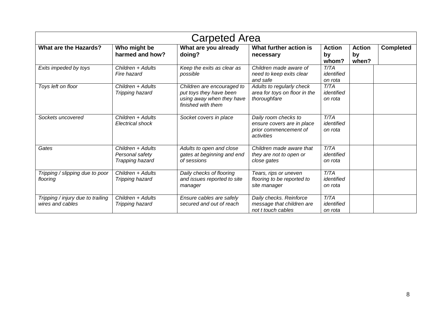| <b>Carpeted Area</b>                                  |                                                         |                                                                                                          |                                                                                           |                               |                              |                  |  |
|-------------------------------------------------------|---------------------------------------------------------|----------------------------------------------------------------------------------------------------------|-------------------------------------------------------------------------------------------|-------------------------------|------------------------------|------------------|--|
| <b>What are the Hazards?</b>                          | Who might be<br>harmed and how?                         | What are you already<br>doing?                                                                           | What further action is<br>necessary                                                       | <b>Action</b><br>by<br>whom?  | <b>Action</b><br>by<br>when? | <b>Completed</b> |  |
| Exits impeded by toys                                 | Children + Adults<br>Fire hazard                        | Keep the exits as clear as<br>possible                                                                   | Children made aware of<br>need to keep exits clear<br>and safe                            | T/TA<br>identified<br>on rota |                              |                  |  |
| Toys left on floor                                    | Children + Adults<br>Tripping hazard                    | Children are encouraged to<br>put toys they have been<br>using away when they have<br>finished with them | Adults to regularly check<br>area for toys on floor in the<br>thoroughfare                | T/TA<br>identified<br>on rota |                              |                  |  |
| Sockets uncovered                                     | Children + Adults<br>Electrical shock                   | Socket covers in place                                                                                   | Daily room checks to<br>ensure covers are in place<br>prior commencement of<br>activities | T/TA<br>identified<br>on rota |                              |                  |  |
| Gates                                                 | Children + Adults<br>Personal safety<br>Trapping hazard | Adults to open and close<br>gates at beginning and end<br>of sessions                                    | Children made aware that<br>they are not to open or<br>close gates                        | T/TA<br>identified<br>on rota |                              |                  |  |
| Tripping / slipping due to poor<br>flooring           | Children + Adults<br>Tripping hazard                    | Daily checks of flooring<br>and issues reported to site<br>manager                                       | Tears, rips or uneven<br>flooring to be reported to<br>site manager                       | T/TA<br>identified<br>on rota |                              |                  |  |
| Tripping / injury due to trailing<br>wires and cables | Children + Adults<br>Tripping hazard                    | Ensure cables are safely<br>secured and out of reach                                                     | Daily checks. Reinforce<br>message that children are<br>not t touch cables                | T/TA<br>identified<br>on rota |                              |                  |  |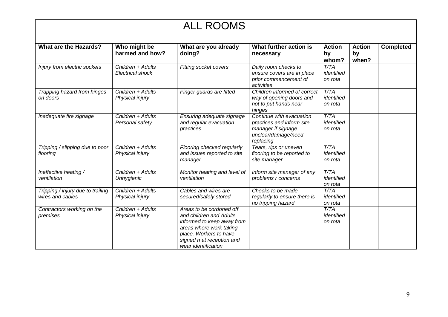| <b>ALL ROOMS</b>                                      |                                       |                                                                                                                                                                                            |                                                                                                                 |                               |                              |                  |  |  |
|-------------------------------------------------------|---------------------------------------|--------------------------------------------------------------------------------------------------------------------------------------------------------------------------------------------|-----------------------------------------------------------------------------------------------------------------|-------------------------------|------------------------------|------------------|--|--|
| <b>What are the Hazards?</b>                          | Who might be<br>harmed and how?       | What are you already<br>doing?                                                                                                                                                             | What further action is<br>necessary                                                                             | <b>Action</b><br>by<br>whom?  | <b>Action</b><br>by<br>when? | <b>Completed</b> |  |  |
| Injury from electric sockets                          | Children + Adults<br>Electrical shock | Fitting socket covers                                                                                                                                                                      | Daily room checks to<br>ensure covers are in place<br>prior commencement of<br>activities                       | T/TA<br>identified<br>on rota |                              |                  |  |  |
| Trapping hazard from hinges<br>on doors               | Children + Adults<br>Physical injury  | Finger guards are fitted                                                                                                                                                                   | Children informed of correct<br>way of opening doors and<br>not to put hands near<br>hinges                     | T/TA<br>identified<br>on rota |                              |                  |  |  |
| Inadequate fire signage                               | Children + Adults<br>Personal safety  | Ensuring adequate signage<br>and regular evacuation<br>practices                                                                                                                           | Continue with evacuation<br>practices and inform site<br>manager if signage<br>unclear/damage/need<br>replacing | T/TA<br>identified<br>on rota |                              |                  |  |  |
| Tripping / slipping due to poor<br>flooring           | Children + Adults<br>Physical injury  | Flooring checked regularly<br>and issues reported to site<br>manager                                                                                                                       | Tears, rips or uneven<br>flooring to be reported to<br>site manager                                             | T/TA<br>identified<br>on rota |                              |                  |  |  |
| Ineffective heating /<br>ventilation                  | Children + Adults<br>Unhygienic       | Monitor heating and level of<br>ventilation                                                                                                                                                | Inform site manager of any<br>problems r concerns                                                               | T/TA<br>identified<br>on rota |                              |                  |  |  |
| Tripping / injury due to trailing<br>wires and cables | Children + Adults<br>Physical injury  | Cables and wires are<br>secured/safely stored                                                                                                                                              | Checks to be made<br>regularly to ensure there is<br>no tripping hazard                                         | T/TA<br>identified<br>on rota |                              |                  |  |  |
| Contractors working on the<br>premises                | Children + Adults<br>Physical injury  | Areas to be cordoned off<br>and children and Adults<br>informed to keep away from<br>areas where work taking<br>place. Workers to have<br>signed n at reception and<br>wear identification |                                                                                                                 | T/TA<br>identified<br>on rota |                              |                  |  |  |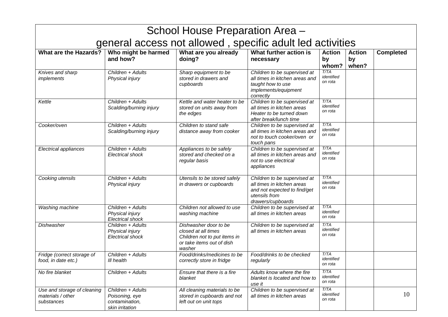| School House Preparation Area -                                |                                                                          |                                                                                                                     |                                                                                                                                  |                               |                              |                  |  |  |
|----------------------------------------------------------------|--------------------------------------------------------------------------|---------------------------------------------------------------------------------------------------------------------|----------------------------------------------------------------------------------------------------------------------------------|-------------------------------|------------------------------|------------------|--|--|
|                                                                | general access not allowed, specific adult led activities                |                                                                                                                     |                                                                                                                                  |                               |                              |                  |  |  |
| <b>What are the Hazards?</b>                                   | Who might be harmed<br>and how?                                          | What are you already<br>doing?                                                                                      | What further action is<br>necessary                                                                                              | <b>Action</b><br>by<br>whom?  | <b>Action</b><br>by<br>when? | <b>Completed</b> |  |  |
| Knives and sharp<br>implements                                 | Children + Adults<br>Physical injury                                     | Sharp equipment to be<br>stored in drawers and<br>cupboards                                                         | Children to be supervised at<br>all times in kitchen areas and<br>taught how to use<br>implements/equipment<br>correctly         | T/TA<br>identified<br>on rota |                              |                  |  |  |
| Kettle                                                         | Children + Adults<br>Scalding/burning injury                             | Kettle and water heater to be<br>stored on units away from<br>the edges                                             | Children to be supervised at<br>all times in kitchen areas<br>Heater to be turned down<br>after break/lunch time                 | T/TA<br>identified<br>on rota |                              |                  |  |  |
| Cooker/oven                                                    | Children + Adults<br>Scalding/burning injury                             | Children to stand safe<br>distance away from cooker                                                                 | Children to be supervised at<br>all times in kitchen areas and<br>not to touch cooker/oven or<br>touch pans                      | T/TA<br>identified<br>on rota |                              |                  |  |  |
| <b>Electrical appliances</b>                                   | Children + Adults<br><b>Electrical shock</b>                             | Appliances to be safely<br>stored and checked on a<br>regular basis                                                 | Children to be supervised at<br>all times in kitchen areas and<br>not to use electrical<br>appliances                            | T/TA<br>identified<br>on rota |                              |                  |  |  |
| Cooking utensils                                               | Children + Adults<br>Physical injury                                     | Utensils to be stored safely<br>in drawers or cupboards                                                             | Children to be supervised at<br>all times in kitchen areas<br>and not expected to find/get<br>utensils from<br>drawers/cupboards | T/TA<br>identified<br>on rota |                              |                  |  |  |
| Washing machine                                                | Children + Adults<br>Physical injury<br>Electrical shock                 | Children not allowed to use<br>washing machine                                                                      | Children to be supervised at<br>all times in kitchen areas                                                                       | T/TA<br>identified<br>on rota |                              |                  |  |  |
| Dishwasher                                                     | Children + Adults<br>Physical injury<br>Electrical shock                 | Dishwasher door to be<br>closed at all times<br>Children not to put items in<br>or take items out of dish<br>washer | Children to be supervised at<br>all times in kitchen areas                                                                       | T/TA<br>identified<br>on rota |                              |                  |  |  |
| Fridge (correct storage of<br>food, in date etc.)              | Children + Adults<br>III health                                          | Food/drinks/medicines to be<br>correctly store in fridge                                                            | Food/drinks to be checked<br>regularly                                                                                           | T/TA<br>identified<br>on rota |                              |                  |  |  |
| No fire blanket                                                | Children + Adults                                                        | Ensure that there is a fire<br>blanket                                                                              | Adults know where the fire<br>blanket is located and how to<br>use it                                                            | T/TA<br>identified<br>on rota |                              |                  |  |  |
| Use and storage of cleaning<br>materials / other<br>substances | Children + Adults<br>Poisoning, eye<br>contamination,<br>skin irritation | All cleaning materials to be<br>stored in cupboards and not<br>left out on unit tops                                | Children to be supervised at<br>all times in kitchen areas                                                                       | T/TA<br>identified<br>on rota |                              | 10               |  |  |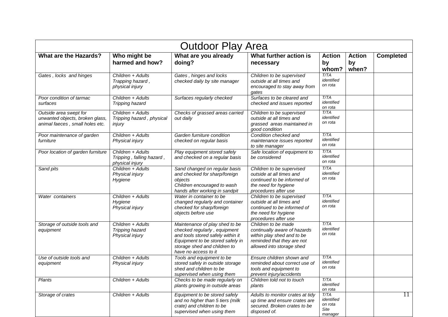| <b>Outdoor Play Area</b>                                                                     |                                                                   |                                                                                                                                                                                                 |                                                                                                                                              |                                                  |                              |                  |  |
|----------------------------------------------------------------------------------------------|-------------------------------------------------------------------|-------------------------------------------------------------------------------------------------------------------------------------------------------------------------------------------------|----------------------------------------------------------------------------------------------------------------------------------------------|--------------------------------------------------|------------------------------|------------------|--|
| <b>What are the Hazards?</b>                                                                 | Who might be<br>harmed and how?                                   | What are you already<br>doing?                                                                                                                                                                  | What further action is<br>necessary                                                                                                          | <b>Action</b><br>by<br>whom?                     | <b>Action</b><br>by<br>when? | <b>Completed</b> |  |
| Gates, locks and hinges                                                                      | Children + Adults<br>Trapping hazard,<br>physical injury          | Gates, hinges and locks<br>checked daily by site manager                                                                                                                                        | Children to be supervised<br>outside at all times and<br>encouraged to stay away from<br>gates                                               | T/TA<br>identified<br>on rota                    |                              |                  |  |
| Poor condition of tarmac<br>surfaces                                                         | Children + Adults<br>Tripping hazard                              | Surfaces regularly checked                                                                                                                                                                      | Surfaces to be cleared and<br>checked and issues reported                                                                                    | T/TA<br>identified<br>on rota                    |                              |                  |  |
| Outside area swept for<br>unwanted objects, broken glass,<br>animal faeces, small holes etc. | Children + Adults<br>Tripping hazard, physical<br>injury          | Checks of grassed areas carried<br>out daily                                                                                                                                                    | Children to be supervised<br>outside at all times and<br>grassed areas maintained in<br>good condition                                       | T/TA<br>identified<br>on rota                    |                              |                  |  |
| Poor maintenance of garden<br>furniture                                                      | Children + Adults<br>Physical injury                              | Garden furniture condition<br>checked on regular basis                                                                                                                                          | Condition checked and<br>maintenance issues reported<br>to site manager                                                                      | T/TA<br>identified<br>on rota                    |                              |                  |  |
| Poor location of garden furniture                                                            | Children + Adults<br>Tripping, falling hazard,<br>physical injury | Play equipment stored safely<br>and checked on a regular basis                                                                                                                                  | Safe location of equipment to<br>be considered                                                                                               | T/TA<br>identified<br>on rota                    |                              |                  |  |
| Sand pits                                                                                    | Children + Adults<br>Physical injury<br>Hygiene                   | Sand changed on regular basis<br>and checked for sharp/foreign<br>objects<br>Children encouraged to wash<br>hands after working in sandpit                                                      | Children to be supervised<br>outside at all times and<br>continued to be informed of<br>the need for hygiene<br>procedures after use         | T/TA<br>identified<br>on rota                    |                              |                  |  |
| Water containers                                                                             | Children + Adults<br>Hygiene<br>Physical injury                   | Water in container to be<br>changed regularly and container<br>checked for sharp/foreign<br>objects before use                                                                                  | Children to be supervised<br>outside at all times and<br>continued to be informed of<br>the need for hygiene<br>procedures after use         | T/TA<br>identified<br>on rota                    |                              |                  |  |
| Storage of outside tools and<br>equipment                                                    | Children + Adults<br>Tripping hazard<br>Physical injury           | Maintenance of play shed to be<br>checked regularly, equipment<br>and tools stored safely within it<br>Equipment to be stored safely in<br>storage shed and children to<br>have no access to it | Children to be made<br>continually aware of hazards<br>within play shed and to be<br>reminded that they are not<br>allowed into storage shed | T/TA<br>identified<br>on rota                    |                              |                  |  |
| Use of outside tools and<br>equipment                                                        | Children + Adults<br>Physical injury                              | Tools and equipment to be<br>stored safely in outside storage<br>shed and children to be<br>supervised when using them                                                                          | Ensure children shown and<br>reminded about correct use of<br>tools and equipment to<br>prevent injury/accidents                             | T/TA<br>identified<br>on rota                    |                              |                  |  |
| Plants                                                                                       | Children + Adults                                                 | Checks to be made regularly on<br>plants growing in outside areas                                                                                                                               | Children told not to touch<br>plants                                                                                                         | T/TA<br>identified<br>on rota                    |                              |                  |  |
| Storage of crates                                                                            | Children + Adults                                                 | Equipment to be stored safely<br>and no higher than 5 tiers (milk<br>crate) and children to be<br>supervised when using them                                                                    | Adults to monitor crates at tidy<br>up time and ensure crates are<br>secured. Broken crates to be<br>disposed of.                            | T/TA<br>identified<br>on rota<br>Site<br>manager |                              | 11               |  |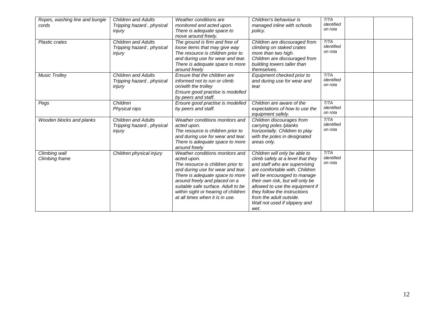| Ropes, washing line and bungie | <b>Children and Adults</b> | Weather conditions are                                                 | Children's behaviour is                                          | T/TA                  |  |
|--------------------------------|----------------------------|------------------------------------------------------------------------|------------------------------------------------------------------|-----------------------|--|
| cords                          | Tripping hazard, physical  | monitored and acted upon.                                              | managed inline with schools                                      | identified<br>on rota |  |
|                                | injury                     | There is adequate space to                                             | policy.                                                          |                       |  |
| Plastic crates                 | <b>Children and Adults</b> | move around freely.<br>The ground is firm and free of                  | Children are discouraged from                                    | T/TA                  |  |
|                                | Tripping hazard, physical  | loose items that may give way                                          | climbing on staked crates                                        | identified            |  |
|                                | injury                     | The resource is children prior to                                      | more than two high.                                              | on rota               |  |
|                                |                            | and during use for wear and tear.                                      | Children are discouraged from                                    |                       |  |
|                                |                            | There is adequate space to more                                        | building towers taller than                                      |                       |  |
|                                |                            | around freely                                                          | themselves.                                                      |                       |  |
| <b>Music Trolley</b>           | <b>Children and Adults</b> | Ensure that the children are                                           | Equipment checked prior to                                       | T/TA<br>identified    |  |
|                                | Tripping hazard, physical  | informed not to run or climb                                           | and during use for wear and                                      | on rota               |  |
|                                | injury                     | on/with the trolley<br>Ensure good practise is modelled                | tear                                                             |                       |  |
|                                |                            | by peers and staff.                                                    |                                                                  |                       |  |
| Pegs                           | Children                   | Ensure good practise is modelled                                       | Children are aware of the                                        | T/TA                  |  |
|                                | Physical nips              | by peers and staff.                                                    | expectations of how to use the                                   | identified            |  |
|                                |                            |                                                                        | equipment safely.                                                | on rota               |  |
| Wooden blocks and planks       | <b>Children and Adults</b> | Weather conditions monitors and                                        | Children discourages from                                        | T/TA<br>identified    |  |
|                                | Tripping hazard, physical  | acted upon.                                                            | carrying poles /planks                                           | on rota               |  |
|                                | injury                     | The resource is children prior to<br>and during use for wear and tear. | horizontally. Children to play<br>with the poles in designated   |                       |  |
|                                |                            | There is adequate space to more                                        | areas only.                                                      |                       |  |
|                                |                            | around freely                                                          |                                                                  |                       |  |
| Climbing wall                  | Children physical injury   | Weather conditions monitors and                                        | Children will only be able to                                    | T/TA                  |  |
| Climbing frame                 |                            | acted upon.                                                            | climb safely at a level that they                                | identified            |  |
|                                |                            | The resource is children prior to                                      | and staff who are supervising                                    | on rota               |  |
|                                |                            | and during use for wear and tear.                                      | are comfortable with. Children                                   |                       |  |
|                                |                            | There is adequate space to more<br>around freely and placed on a       | will be encouraged to manage<br>their own risk, but will only be |                       |  |
|                                |                            | suitable safe surface. Adult to be                                     | allowed to use the equipment if                                  |                       |  |
|                                |                            | within sight or hearing of children                                    | they follow the instructions                                     |                       |  |
|                                |                            | at all times when it is in use.                                        | from the adult outside.                                          |                       |  |
|                                |                            |                                                                        | Wall not used if slippery and                                    |                       |  |
|                                |                            |                                                                        | wet.                                                             |                       |  |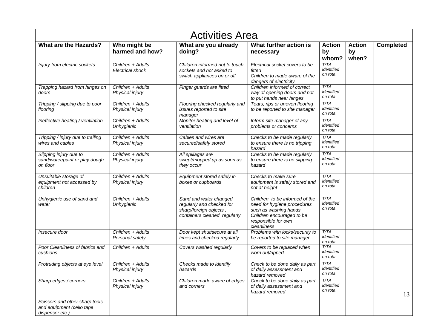|                                                                                | <b>Activities Area</b>                |                                                                                                               |                                                                                                                                                           |                               |                              |                  |  |  |
|--------------------------------------------------------------------------------|---------------------------------------|---------------------------------------------------------------------------------------------------------------|-----------------------------------------------------------------------------------------------------------------------------------------------------------|-------------------------------|------------------------------|------------------|--|--|
| What are the Hazards?                                                          | Who might be<br>harmed and how?       | What are you already<br>doing?                                                                                | What further action is<br>necessary                                                                                                                       | <b>Action</b><br>by<br>whom?  | <b>Action</b><br>by<br>when? | <b>Completed</b> |  |  |
| Injury from electric sockets                                                   | Children + Adults<br>Electrical shock | Children informed not to touch<br>sockets and not asked to<br>switch appliances on or off                     | Electrical socket covers to be<br>fitted<br>Children to made aware of the<br>dangers of electricity                                                       | T/TA<br>identified<br>on rota |                              |                  |  |  |
| Trapping hazard from hinges on<br>doors                                        | Children + Adults<br>Physical injury  | Finger guards are fitted                                                                                      | Children informed of correct<br>way of opening doors and not<br>to put hands near hinges                                                                  | T/TA<br>identified<br>on rota |                              |                  |  |  |
| Tripping / slipping due to poor<br>flooring                                    | Children + Adults<br>Physical injury  | Flooring checked regularly and<br>issues reported to site<br>manager                                          | Tears, rips or uneven flooring<br>to be reported to site manager                                                                                          | T/TA<br>identified<br>on rota |                              |                  |  |  |
| Ineffective heating / ventilation                                              | Children + Adults<br>Unhygienic       | Monitor heating and level of<br>ventilation                                                                   | Inform site manager of any<br>problems or concerns                                                                                                        | T/TA<br>identified<br>on rota |                              |                  |  |  |
| Tripping / injury due to trailing<br>wires and cables                          | Children + Adults<br>Physical injury  | Cables and wires are<br>secured/safely stored                                                                 | Checks to be made regularly<br>to ensure there is no tripping<br>hazard                                                                                   | T/TA<br>identified<br>on rota |                              |                  |  |  |
| Slipping injury due to<br>sand/water/paint or play dough<br>on floor           | Children + Adults<br>Physical injury  | All spillages are<br>swept/mopped up as soon as<br>they occur                                                 | Checks to be made regularly<br>to ensure there is no slipping<br>hazard                                                                                   | T/TA<br>identified<br>on rota |                              |                  |  |  |
| Unsuitable storage of<br>equipment not accessed by<br>children                 | Children + Adults<br>Physical injury  | Equipment stored safely in<br>boxes or cupboards                                                              | Checks to make sure<br>equipment is safely stored and<br>not at height                                                                                    | T/TA<br>identified<br>on rota |                              |                  |  |  |
| Unhygienic use of sand and<br>water                                            | Children + Adults<br>Unhygienic       | Sand and water changed<br>regularly and checked for<br>sharp/foreign objects,<br>containers cleaned regularly | Children to be informed of the<br>need for hygiene procedures<br>such as washing hands<br>Children encouraged to be<br>responsible for own<br>cleanliness | T/TA<br>identified<br>on rota |                              |                  |  |  |
| Insecure door                                                                  | Children + Adults<br>Personal safety  | Door kept shut/secure at all<br>times and checked regularly                                                   | Problems with locks/security to<br>be reported to site manager                                                                                            | T/TA<br>identified<br>on rota |                              |                  |  |  |
| Poor Cleanliness of fabrics and<br>cushions                                    | Children + Adults                     | Covers washed regularly                                                                                       | Covers to be replaced when<br>worn out/ripped                                                                                                             | T/TA<br>identified<br>on rota |                              |                  |  |  |
| Protruding objects at eye level                                                | Children + Adults<br>Physical injury  | Checks made to identify<br>hazards                                                                            | Check to be done daily as part<br>of daily assessment and<br>hazard removed                                                                               | T/TA<br>identified<br>on rota |                              |                  |  |  |
| Sharp edges / corners                                                          | Children + Adults<br>Physical injury  | Children made aware of edges<br>and corners                                                                   | Check to be done daily as part<br>of daily assessment and<br>hazard removed                                                                               | T/TA<br>identified<br>on rota |                              | 13               |  |  |
| Scissors and other sharp tools<br>and equipment (cello tape<br>dispenser etc.) |                                       |                                                                                                               |                                                                                                                                                           |                               |                              |                  |  |  |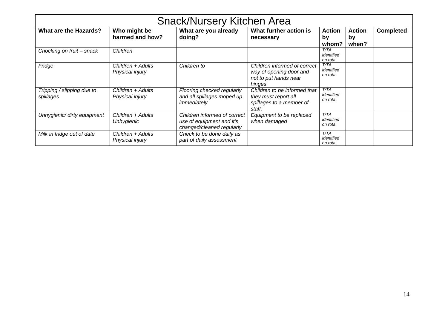| <b>Snack/Nursery Kitchen Area</b>       |                                      |                                                                                        |                                                                                            |                               |                              |                  |  |  |
|-----------------------------------------|--------------------------------------|----------------------------------------------------------------------------------------|--------------------------------------------------------------------------------------------|-------------------------------|------------------------------|------------------|--|--|
| <b>What are the Hazards?</b>            | Who might be<br>harmed and how?      | What are you already<br>doing?                                                         | What further action is<br>necessary                                                        | <b>Action</b><br>by<br>whom?  | <b>Action</b><br>by<br>when? | <b>Completed</b> |  |  |
| Chocking on fruit - snack               | Children                             |                                                                                        |                                                                                            | T/TA<br>identified<br>on rota |                              |                  |  |  |
| Fridge                                  | Children + Adults<br>Physical injury | Children to                                                                            | Children informed of correct<br>way of opening door and<br>not to put hands near<br>hinges | T/TA<br>identified<br>on rota |                              |                  |  |  |
| Tripping / slipping due to<br>spillages | Children + Adults<br>Physical injury | Flooring checked regularly<br>and all spillages moped up<br>immediately                | Children to be informed that<br>they must report all<br>spillages to a member of<br>staff. | T/TA<br>identified<br>on rota |                              |                  |  |  |
| Unhygienic/ dirty equipment             | Children + Adults<br>Unhygienic      | Children informed of correct<br>use of equipment and it's<br>changed/cleaned regularly | Equipment to be replaced<br>when damaged                                                   | T/TA<br>identified<br>on rota |                              |                  |  |  |
| Milk in fridge out of date              | Children + Adults<br>Physical injury | Check to be done daily as<br>part of daily assessment                                  |                                                                                            | T/TA<br>identified<br>on rota |                              |                  |  |  |